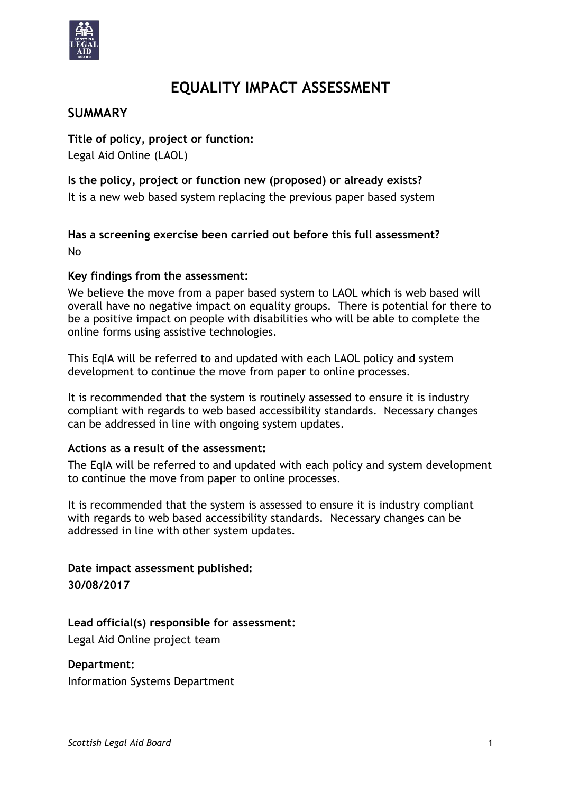

# **EQUALITY IMPACT ASSESSMENT**

### **SUMMARY**

**Title of policy, project or function:** Legal Aid Online (LAOL)

**Is the policy, project or function new (proposed) or already exists?**  It is a new web based system replacing the previous paper based system

**Has a screening exercise been carried out before this full assessment?** No

#### **Key findings from the assessment:**

We believe the move from a paper based system to LAOL which is web based will overall have no negative impact on equality groups. There is potential for there to be a positive impact on people with disabilities who will be able to complete the online forms using assistive technologies.

This EqIA will be referred to and updated with each LAOL policy and system development to continue the move from paper to online processes.

It is recommended that the system is routinely assessed to ensure it is industry compliant with regards to web based accessibility standards. Necessary changes can be addressed in line with ongoing system updates.

#### **Actions as a result of the assessment:**

The EqIA will be referred to and updated with each policy and system development to continue the move from paper to online processes.

It is recommended that the system is assessed to ensure it is industry compliant with regards to web based accessibility standards. Necessary changes can be addressed in line with other system updates.

**Date impact assessment published: 30/08/2017**

#### **Lead official(s) responsible for assessment:**

Legal Aid Online project team

#### **Department:**

Information Systems Department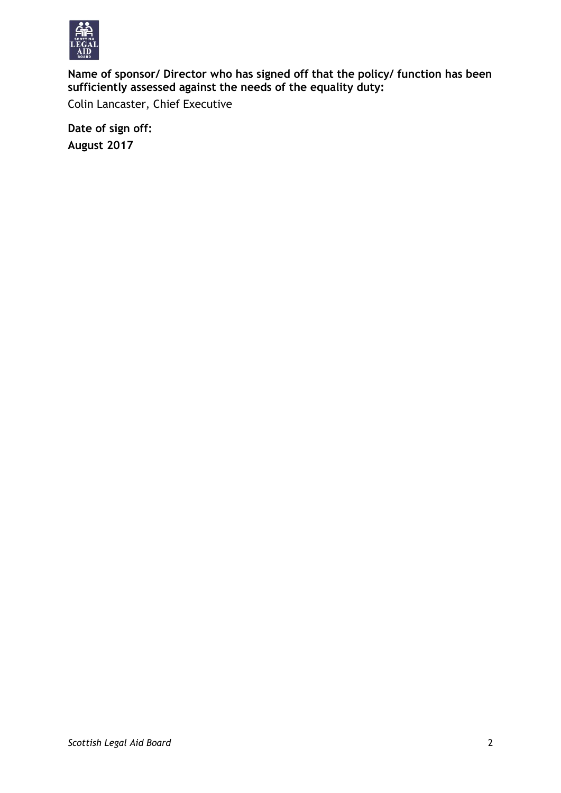

**Name of sponsor/ Director who has signed off that the policy/ function has been sufficiently assessed against the needs of the equality duty:**

Colin Lancaster, Chief Executive

**Date of sign off: August 2017**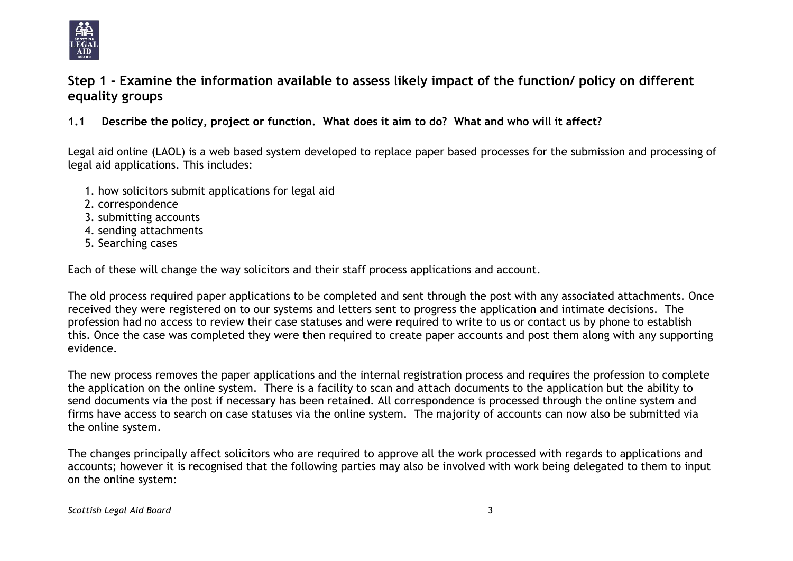

# **Step 1 - Examine the information available to assess likely impact of the function/ policy on different equality groups**

**1.1 Describe the policy, project or function. What does it aim to do? What and who will it affect?**

Legal aid online (LAOL) is a web based system developed to replace paper based processes for the submission and processing of legal aid applications. This includes:

- 1. how solicitors submit applications for legal aid
- 2. correspondence
- 3. submitting accounts
- 4. sending attachments
- 5. Searching cases

Each of these will change the way solicitors and their staff process applications and account.

The old process required paper applications to be completed and sent through the post with any associated attachments. Once received they were registered on to our systems and letters sent to progress the application and intimate decisions. The profession had no access to review their case statuses and were required to write to us or contact us by phone to establish this. Once the case was completed they were then required to create paper accounts and post them along with any supporting evidence.

The new process removes the paper applications and the internal registration process and requires the profession to complete the application on the online system. There is a facility to scan and attach documents to the application but the ability to send documents via the post if necessary has been retained. All correspondence is processed through the online system and firms have access to search on case statuses via the online system. The majority of accounts can now also be submitted via the online system.

The changes principally affect solicitors who are required to approve all the work processed with regards to applications and accounts; however it is recognised that the following parties may also be involved with work being delegated to them to input on the online system: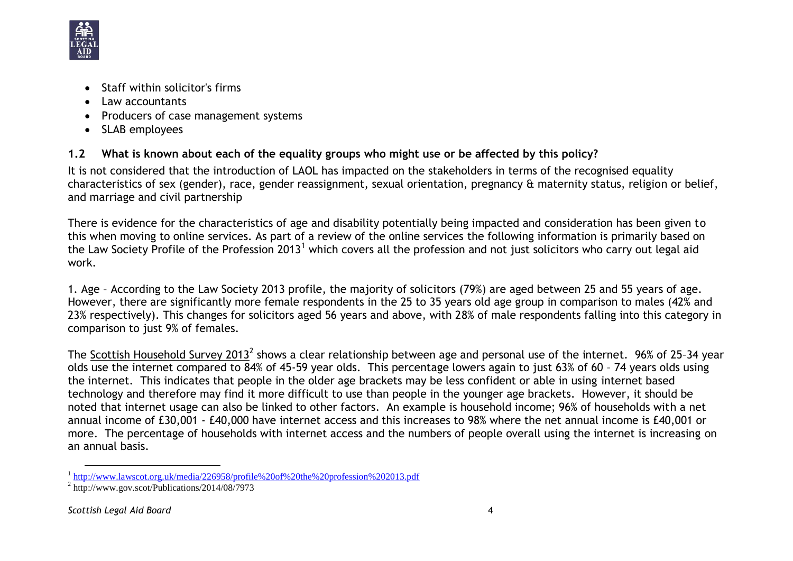

- Staff within solicitor's firms
- Law accountants
- Producers of case management systems
- SLAB employees

### **1.2 What is known about each of the equality groups who might use or be affected by this policy?**

It is not considered that the introduction of LAOL has impacted on the stakeholders in terms of the recognised equality characteristics of sex (gender), race, gender reassignment, sexual orientation, pregnancy & maternity status, religion or belief, and marriage and civil partnership

There is evidence for the characteristics of age and disability potentially being impacted and consideration has been given to this when moving to online services. As part of a review of the online services the following information is primarily based on the Law Society Profile of the Profession 2013<sup>1</sup> which covers all the profession and not just solicitors who carry out legal aid work.

1. Age – According to the Law Society 2013 profile, the majority of solicitors (79%) are aged between 25 and 55 years of age. However, there are significantly more female respondents in the 25 to 35 years old age group in comparison to males (42% and 23% respectively). This changes for solicitors aged 56 years and above, with 28% of male respondents falling into this category in comparison to just 9% of females.

The <u>Scottish Household Survey 2013</u><sup>2</sup> shows a clear relationship between age and personal use of the internet. 96% of 25-34 year olds use the internet compared to 84% of 45-59 year olds. This percentage lowers again to just 63% of 60 – 74 years olds using the internet. This indicates that people in the older age brackets may be less confident or able in using internet based technology and therefore may find it more difficult to use than people in the younger age brackets. However, it should be noted that internet usage can also be linked to other factors. An example is household income; 96% of households with a net annual income of £30,001 - £40,000 have internet access and this increases to 98% where the net annual income is £40,001 or more. The percentage of households with internet access and the numbers of people overall using the internet is increasing on an annual basis.

l <sup>1</sup> <http://www.lawscot.org.uk/media/226958/profile%20of%20the%20profession%202013.pdf>

<sup>&</sup>lt;sup>2</sup> http://www.gov.scot/Publications/2014/08/7973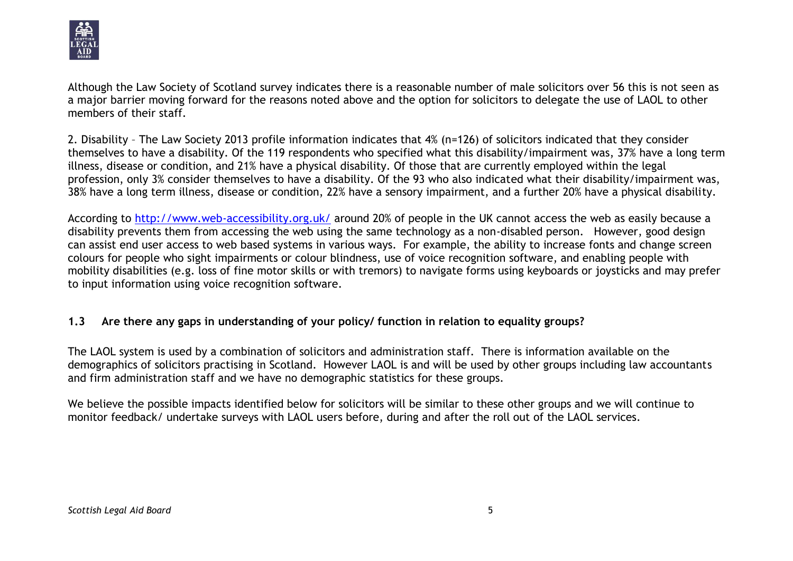

Although the Law Society of Scotland survey indicates there is a reasonable number of male solicitors over 56 this is not seen as a major barrier moving forward for the reasons noted above and the option for solicitors to delegate the use of LAOL to other members of their staff.

2. Disability – The Law Society 2013 profile information indicates that 4% (n=126) of solicitors indicated that they consider themselves to have a disability. Of the 119 respondents who specified what this disability/impairment was, 37% have a long term illness, disease or condition, and 21% have a physical disability. Of those that are currently employed within the legal profession, only 3% consider themselves to have a disability. Of the 93 who also indicated what their disability/impairment was, 38% have a long term illness, disease or condition, 22% have a sensory impairment, and a further 20% have a physical disability.

According to<http://www.web-accessibility.org.uk/> around 20% of people in the UK cannot access the web as easily because a disability prevents them from accessing the web using the same technology as a non-disabled person. However, good design can assist end user access to web based systems in various ways. For example, the ability to increase fonts and change screen colours for people who sight impairments or colour blindness, use of voice recognition software, and enabling people with mobility disabilities (e.g. loss of fine motor skills or with tremors) to navigate forms using keyboards or joysticks and may prefer to input information using voice recognition software.

#### **1.3 Are there any gaps in understanding of your policy/ function in relation to equality groups?**

The LAOL system is used by a combination of solicitors and administration staff. There is information available on the demographics of solicitors practising in Scotland. However LAOL is and will be used by other groups including law accountants and firm administration staff and we have no demographic statistics for these groups.

We believe the possible impacts identified below for solicitors will be similar to these other groups and we will continue to monitor feedback/ undertake surveys with LAOL users before, during and after the roll out of the LAOL services.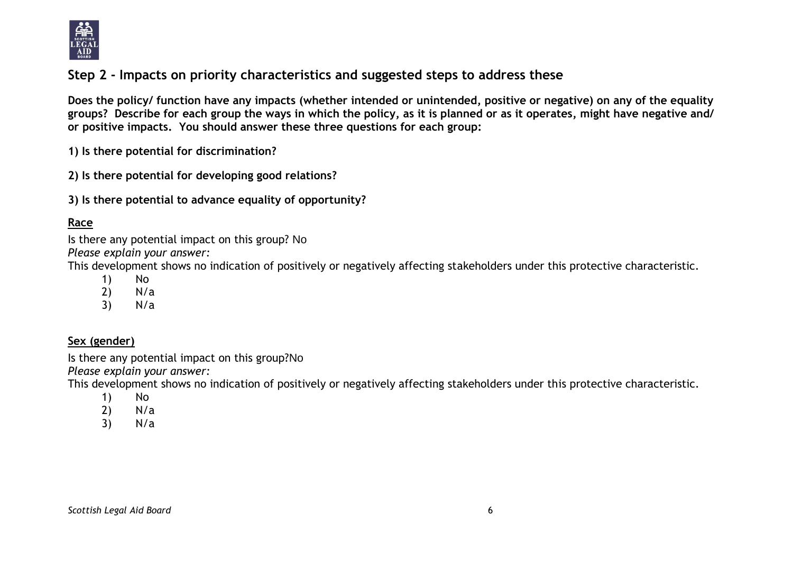

# **Step 2 - Impacts on priority characteristics and suggested steps to address these**

**Does the policy/ function have any impacts (whether intended or unintended, positive or negative) on any of the equality groups? Describe for each group the ways in which the policy, as it is planned or as it operates, might have negative and/ or positive impacts. You should answer these three questions for each group:** 

**1) Is there potential for discrimination?** 

**2) Is there potential for developing good relations?**

**3) Is there potential to advance equality of opportunity?**

### **Race**

Is there any potential impact on this group? No *Please explain your answer:*

This development shows no indication of positively or negatively affecting stakeholders under this protective characteristic.

- 1) No
- 2) N/a
- 3) N/a

#### **Sex (gender)**

Is there any potential impact on this group?No

*Please explain your answer:*

This development shows no indication of positively or negatively affecting stakeholders under this protective characteristic.

- 1) No
- 2) N/a
- 3) N/a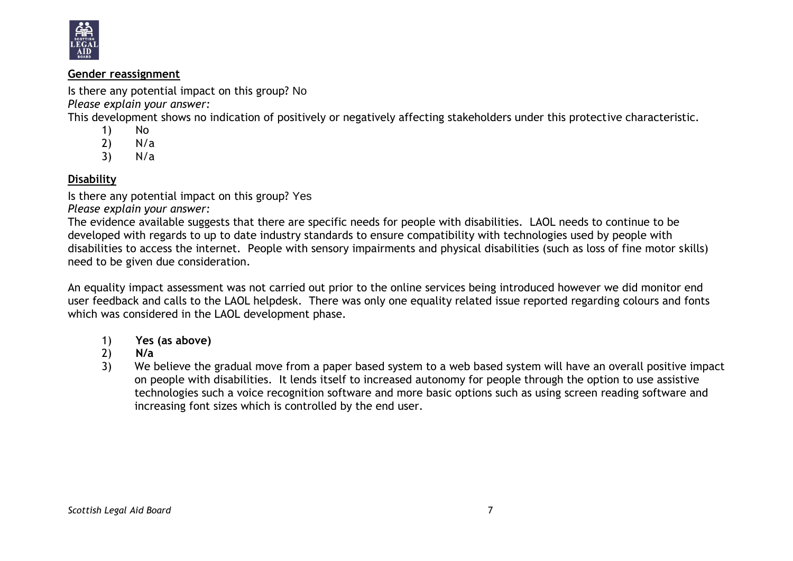

#### **Gender reassignment**

Is there any potential impact on this group? No

*Please explain your answer:*

This development shows no indication of positively or negatively affecting stakeholders under this protective characteristic.

- 1) No
- 2) N/a
- 3) N/a

### **Disability**

Is there any potential impact on this group? Yes

*Please explain your answer:*

The evidence available suggests that there are specific needs for people with disabilities. LAOL needs to continue to be developed with regards to up to date industry standards to ensure compatibility with technologies used by people with disabilities to access the internet. People with sensory impairments and physical disabilities (such as loss of fine motor skills) need to be given due consideration.

An equality impact assessment was not carried out prior to the online services being introduced however we did monitor end user feedback and calls to the LAOL helpdesk. There was only one equality related issue reported regarding colours and fonts which was considered in the LAOL development phase.

- 1) **Yes (as above)**
- 2) **N/a**
- 3) We believe the gradual move from a paper based system to a web based system will have an overall positive impact on people with disabilities. It lends itself to increased autonomy for people through the option to use assistive technologies such a voice recognition software and more basic options such as using screen reading software and increasing font sizes which is controlled by the end user.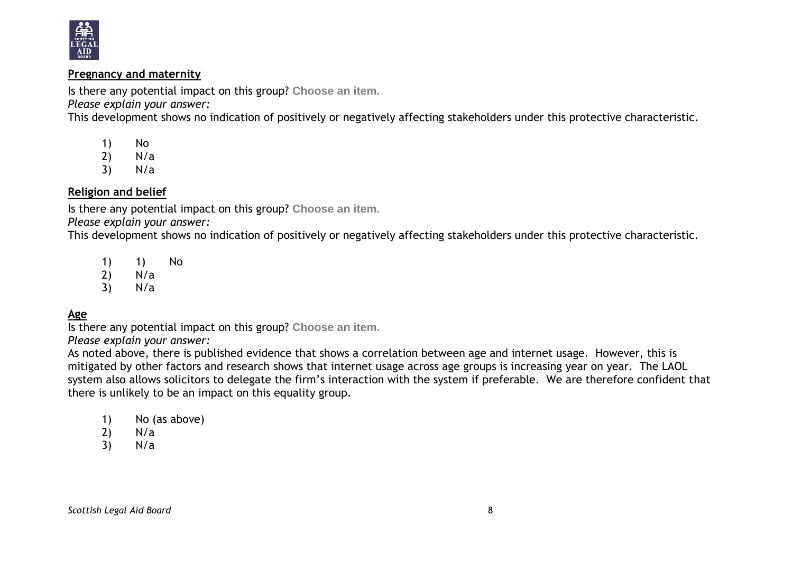

#### **Pregnancy and maternity**

Is there any potential impact on this group? **Choose an item.**

*Please explain your answer:*

This development shows no indication of positively or negatively affecting stakeholders under this protective characteristic.

- 1) No<br>2) N/a
- $N/a$
- 3) N/a

#### **Religion and belief**

Is there any potential impact on this group? **Choose an item.**

*Please explain your answer:*

This development shows no indication of positively or negatively affecting stakeholders under this protective characteristic.

1) 1) No 2) N/a 3) N/a

# **Age**

Is there any potential impact on this group? **Choose an item.**

*Please explain your answer:*

As noted above, there is published evidence that shows a correlation between age and internet usage. However, this is mitigated by other factors and research shows that internet usage across age groups is increasing year on year. The LAOL system also allows solicitors to delegate the firm's interaction with the system if preferable. We are therefore confident that there is unlikely to be an impact on this equality group.

- 1) No (as above)
- 2) N/a
- 3) N/a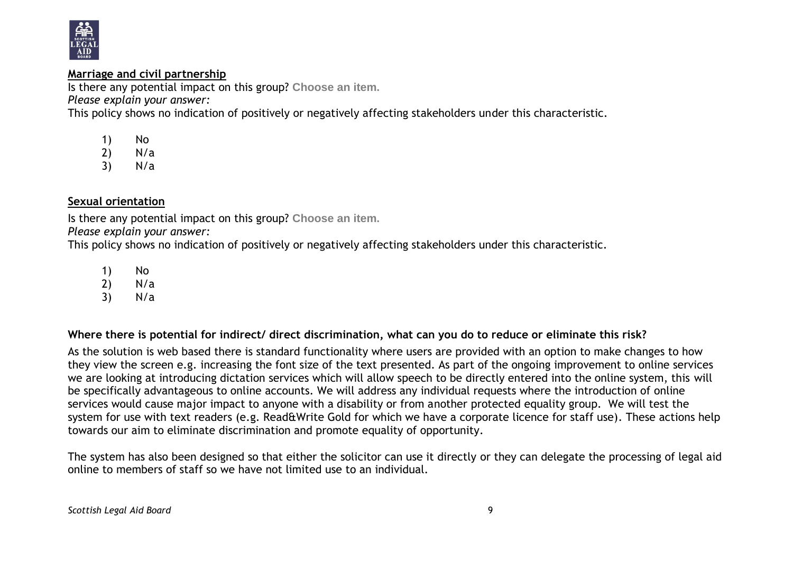

#### **Marriage and civil partnership**

Is there any potential impact on this group? **Choose an item.**

*Please explain your answer:*

This policy shows no indication of positively or negatively affecting stakeholders under this characteristic.

- 1) No
- 2)  $N/a$ <br>3)  $N/a$
- $N/a$

### **Sexual orientation**

Is there any potential impact on this group? **Choose an item.**

*Please explain your answer:*

This policy shows no indication of positively or negatively affecting stakeholders under this characteristic.

- 1) No
- 2) N/a<br>3) N/a
- $N/a$

**Where there is potential for indirect/ direct discrimination, what can you do to reduce or eliminate this risk?**

As the solution is web based there is standard functionality where users are provided with an option to make changes to how they view the screen e.g. increasing the font size of the text presented. As part of the ongoing improvement to online services we are looking at introducing dictation services which will allow speech to be directly entered into the online system, this will be specifically advantageous to online accounts. We will address any individual requests where the introduction of online services would cause major impact to anyone with a disability or from another protected equality group. We will test the system for use with text readers (e.g. Read&Write Gold for which we have a corporate licence for staff use). These actions help towards our aim to eliminate discrimination and promote equality of opportunity.

The system has also been designed so that either the solicitor can use it directly or they can delegate the processing of legal aid online to members of staff so we have not limited use to an individual.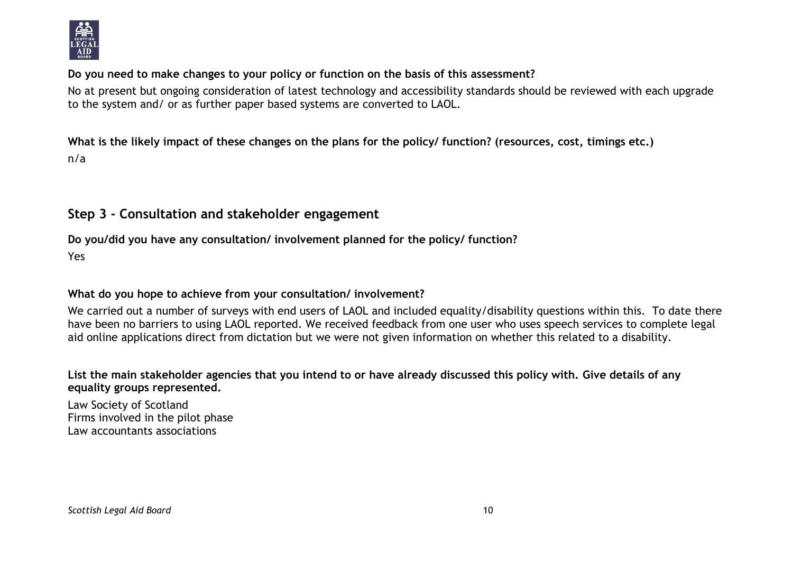

#### **Do you need to make changes to your policy or function on the basis of this assessment?**

No at present but ongoing consideration of latest technology and accessibility standards should be reviewed with each upgrade to the system and/ or as further paper based systems are converted to LAOL.

**What is the likely impact of these changes on the plans for the policy/ function? (resources, cost, timings etc.)** n/a

# **Step 3 - Consultation and stakeholder engagement**

# **Do you/did you have any consultation/ involvement planned for the policy/ function?**

Yes

### **What do you hope to achieve from your consultation/ involvement?**

We carried out a number of surveys with end users of LAOL and included equality/disability questions within this. To date there have been no barriers to using LAOL reported. We received feedback from one user who uses speech services to complete legal aid online applications direct from dictation but we were not given information on whether this related to a disability.

#### **List the main stakeholder agencies that you intend to or have already discussed this policy with. Give details of any equality groups represented.**

Law Society of Scotland Firms involved in the pilot phase Law accountants associations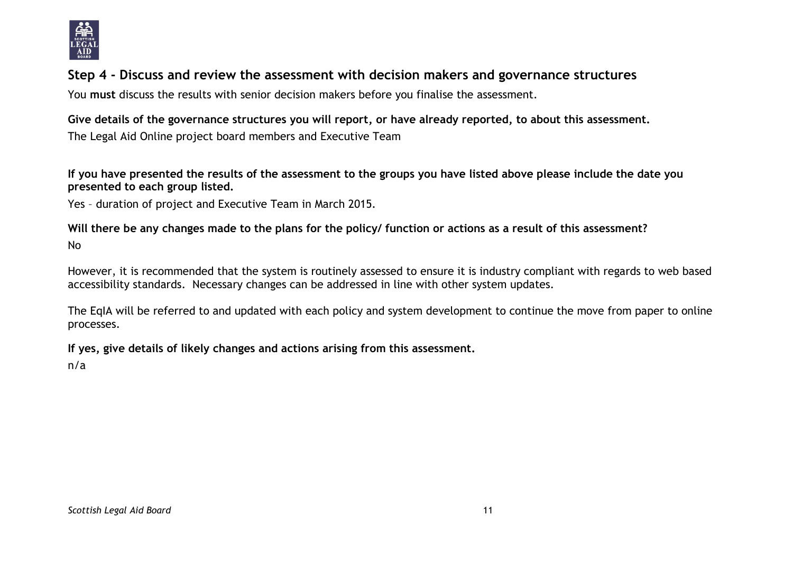

# **Step 4 - Discuss and review the assessment with decision makers and governance structures**

You **must** discuss the results with senior decision makers before you finalise the assessment.

# **Give details of the governance structures you will report, or have already reported, to about this assessment.**

The Legal Aid Online project board members and Executive Team

**If you have presented the results of the assessment to the groups you have listed above please include the date you presented to each group listed.**

Yes – duration of project and Executive Team in March 2015.

**Will there be any changes made to the plans for the policy/ function or actions as a result of this assessment?** No

However, it is recommended that the system is routinely assessed to ensure it is industry compliant with regards to web based accessibility standards. Necessary changes can be addressed in line with other system updates.

The EqIA will be referred to and updated with each policy and system development to continue the move from paper to online processes.

**If yes, give details of likely changes and actions arising from this assessment.**

n/a